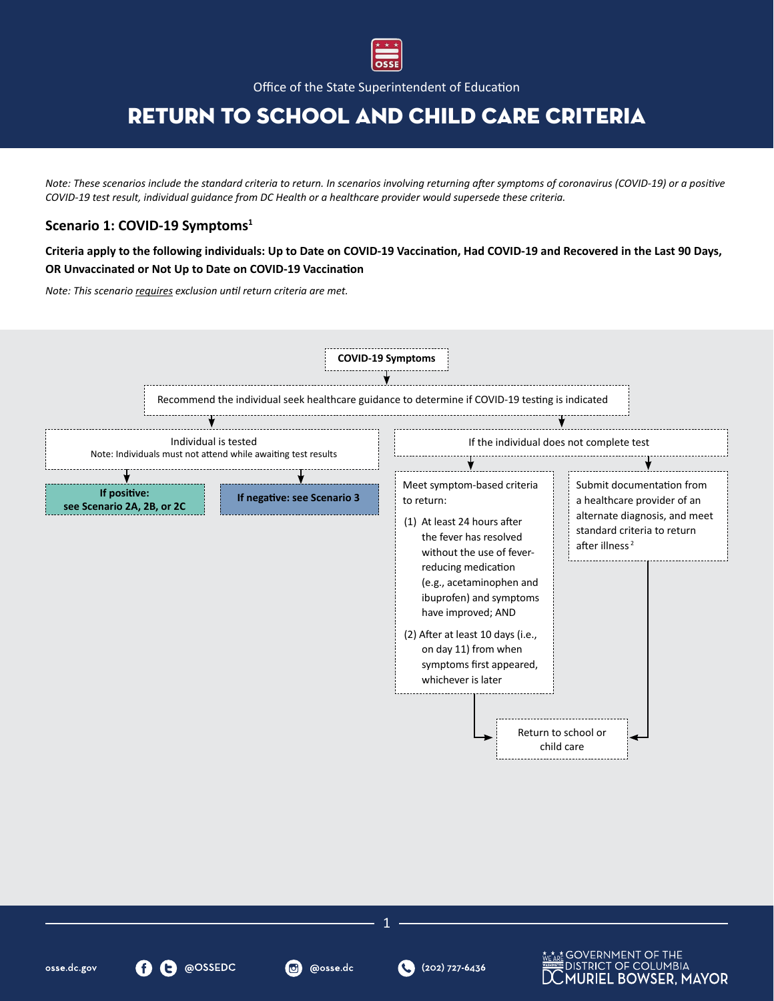

Office of the State Superintendent of Education

# Return to School and Child Care Criteria

*Note: These scenarios include the standard criteria to return. In scenarios involving returning after symptoms of coronavirus (COVID-19) or a positive COVID-19 test result, individual guidance from DC Health or a healthcare provider would supersede these criteria.* 

### **Scenario 1: COVID-19 Symptoms<sup>1</sup>**

**Criteria apply to the following individuals: Up to Date on COVID-19 Vaccination, Had COVID-19 and Recovered in the Last 90 Days, OR Unvaccinated or Not Up to Date on COVID-19 Vaccination**

*Note: This scenario requires exclusion until return criteria are met.*



osse.dc.gov

1

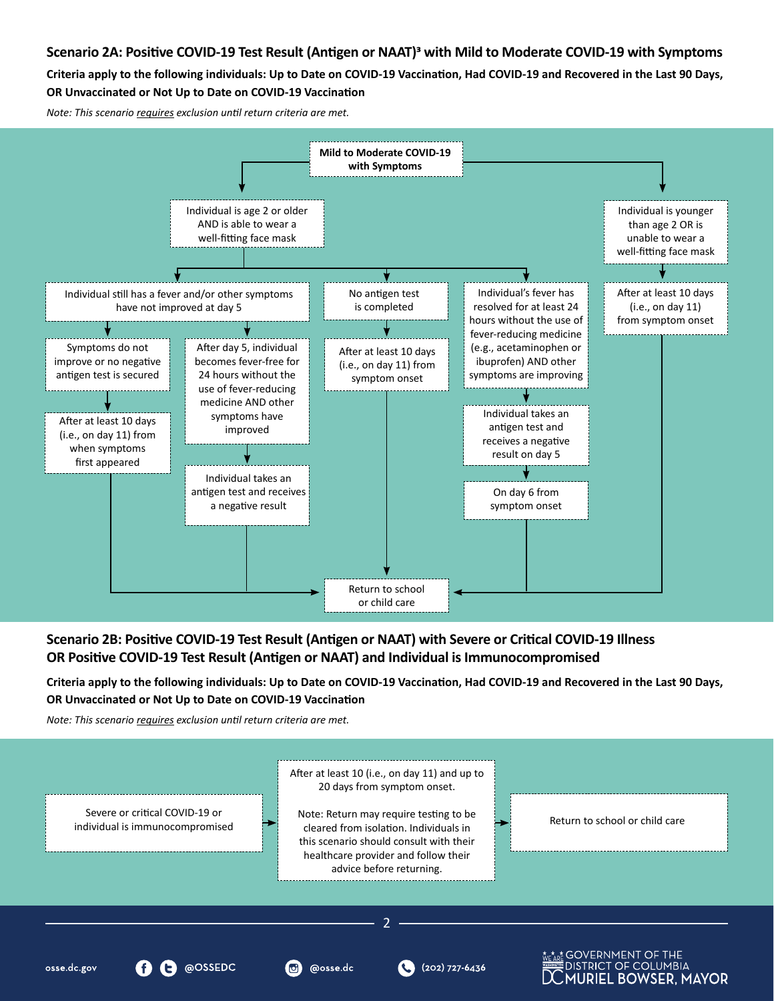### **Scenario 2A: Positive COVID-19 Test Result (Antigen or NAAT)3 with Mild to Moderate COVID-19 with Symptoms**

**Criteria apply to the following individuals: Up to Date on COVID-19 Vaccination, Had COVID-19 and Recovered in the Last 90 Days, OR Unvaccinated or Not Up to Date on COVID-19 Vaccination**

*Note: This scenario requires exclusion until return criteria are met.*



### **Scenario 2B: Positive COVID-19 Test Result (Antigen or NAAT) with Severe or Critical COVID-19 Illness OR Positive COVID-19 Test Result (Antigen or NAAT) and Individual is Immunocompromised**

**Criteria apply to the following individuals: Up to Date on COVID-19 Vaccination, Had COVID-19 and Recovered in the Last 90 Days, OR Unvaccinated or Not Up to Date on COVID-19 Vaccination**

*Note: This scenario requires exclusion until return criteria are met.* 

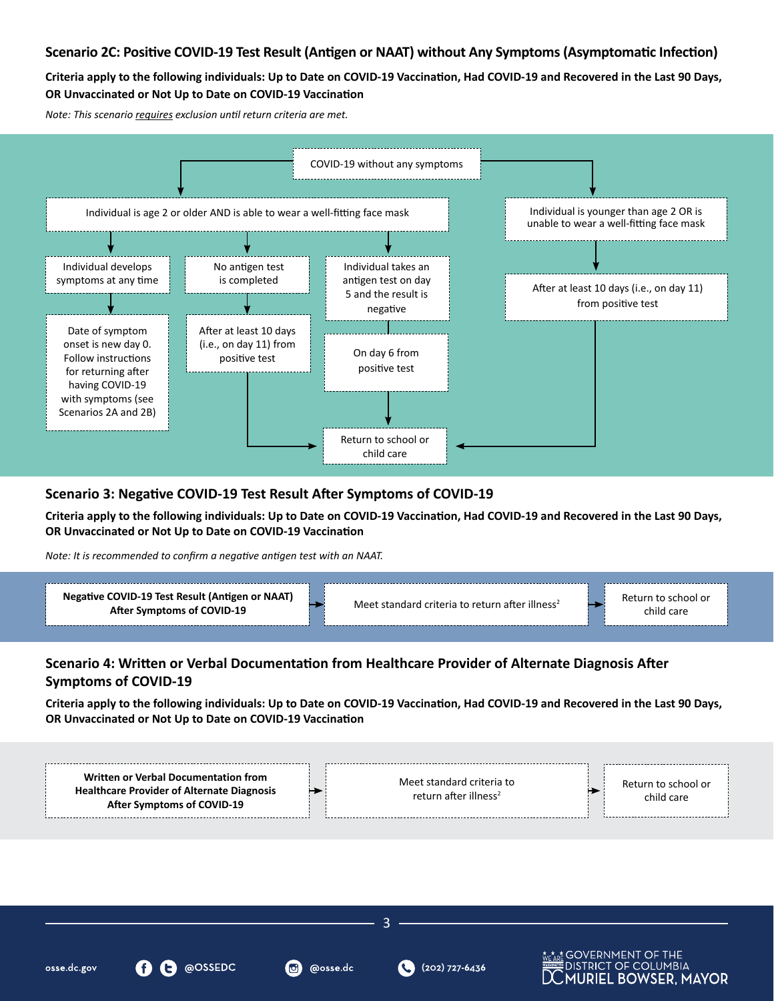### **Scenario 2C: Positive COVID-19 Test Result (Antigen or NAAT) without Any Symptoms (Asymptomatic Infection)**

**Criteria apply to the following individuals: Up to Date on COVID-19 Vaccination, Had COVID-19 and Recovered in the Last 90 Days, OR Unvaccinated or Not Up to Date on COVID-19 Vaccination**

*Note: This scenario requires exclusion until return criteria are met.* 



### **Scenario 3: Negative COVID-19 Test Result After Symptoms of COVID-19**

**Criteria apply to the following individuals: Up to Date on COVID-19 Vaccination, Had COVID-19 and Recovered in the Last 90 Days, OR Unvaccinated or Not Up to Date on COVID-19 Vaccination** 

*Note: It is recommended to confirm a negative antigen test with an NAAT.*

@OSSEDC



## **Scenario 4: Written or Verbal Documentation from Healthcare Provider of Alternate Diagnosis After Symptoms of COVID-19**

**Criteria apply to the following individuals: Up to Date on COVID-19 Vaccination, Had COVID-19 and Recovered in the Last 90 Days, OR Unvaccinated or Not Up to Date on COVID-19 Vaccination**



3

@osse.dc

(202) 727-6436

**Mot GOVERNMENT OF THE** 

DISTRICT OF COLUMBIA

**MURIEL BOWSER, MAYOR** 

osse.dc.gov